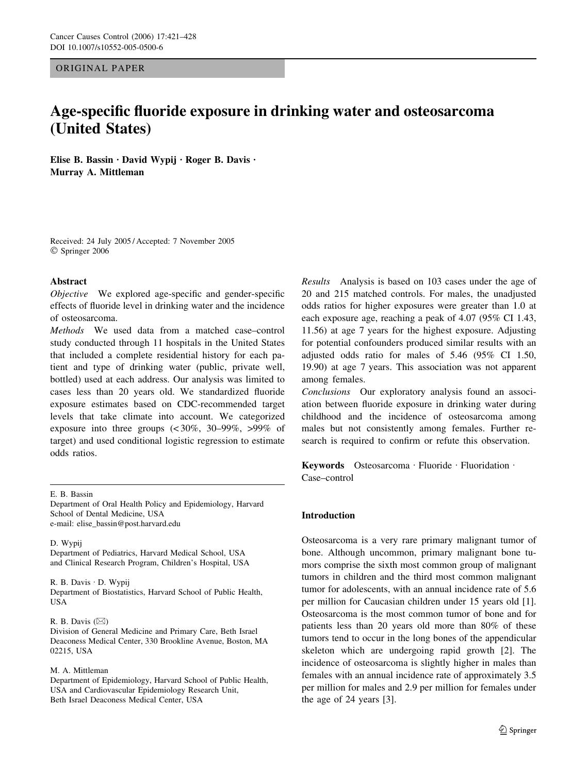ORIGINAL PAPER

# Age-specific fluoride exposure in drinking water and osteosarcoma (United States)

Elise B. Bassin · David Wypij · Roger B. Davis · Murray A. Mittleman

Received: 24 July 2005 / Accepted: 7 November 2005 Springer 2006

## Abstract

Objective We explored age-specific and gender-specific effects of fluoride level in drinking water and the incidence of osteosarcoma.

Methods We used data from a matched case–control study conducted through 11 hospitals in the United States that included a complete residential history for each patient and type of drinking water (public, private well, bottled) used at each address. Our analysis was limited to cases less than 20 years old. We standardized fluoride exposure estimates based on CDC-recommended target levels that take climate into account. We categorized exposure into three groups (< 30%, 30–99%, >99% of target) and used conditional logistic regression to estimate odds ratios.

## E. B. Bassin

Department of Oral Health Policy and Epidemiology, Harvard School of Dental Medicine, USA e-mail: elise\_bassin@post.harvard.edu

D. Wypij

Department of Pediatrics, Harvard Medical School, USA and Clinical Research Program, Children's Hospital, USA

#### R. B. Davis · D. Wypij

Department of Biostatistics, Harvard School of Public Health, USA

## R. B. Davis  $(\boxtimes)$

Division of General Medicine and Primary Care, Beth Israel Deaconess Medical Center, 330 Brookline Avenue, Boston, MA 02215, USA

#### M. A. Mittleman

Department of Epidemiology, Harvard School of Public Health, USA and Cardiovascular Epidemiology Research Unit, Beth Israel Deaconess Medical Center, USA

Results Analysis is based on 103 cases under the age of 20 and 215 matched controls. For males, the unadjusted odds ratios for higher exposures were greater than 1.0 at each exposure age, reaching a peak of 4.07 (95% CI 1.43, 11.56) at age 7 years for the highest exposure. Adjusting for potential confounders produced similar results with an adjusted odds ratio for males of 5.46 (95% CI 1.50, 19.90) at age 7 years. This association was not apparent among females.

Conclusions Our exploratory analysis found an association between fluoride exposure in drinking water during childhood and the incidence of osteosarcoma among males but not consistently among females. Further research is required to confirm or refute this observation.

Keywords Osteosarcoma · Fluoride · Fluoridation · Case–control

#### Introduction

Osteosarcoma is a very rare primary malignant tumor of bone. Although uncommon, primary malignant bone tumors comprise the sixth most common group of malignant tumors in children and the third most common malignant tumor for adolescents, with an annual incidence rate of 5.6 per million for Caucasian children under 15 years old [1]. Osteosarcoma is the most common tumor of bone and for patients less than 20 years old more than 80% of these tumors tend to occur in the long bones of the appendicular skeleton which are undergoing rapid growth [2]. The incidence of osteosarcoma is slightly higher in males than females with an annual incidence rate of approximately 3.5 per million for males and 2.9 per million for females under the age of 24 years [3].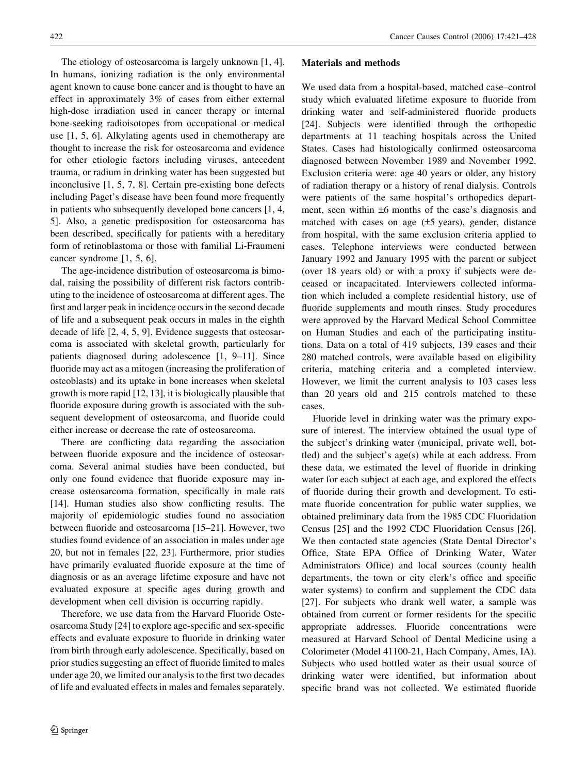The etiology of osteosarcoma is largely unknown [1, 4]. In humans, ionizing radiation is the only environmental agent known to cause bone cancer and is thought to have an effect in approximately 3% of cases from either external high-dose irradiation used in cancer therapy or internal bone-seeking radioisotopes from occupational or medical use [1, 5, 6]. Alkylating agents used in chemotherapy are thought to increase the risk for osteosarcoma and evidence for other etiologic factors including viruses, antecedent trauma, or radium in drinking water has been suggested but inconclusive [1, 5, 7, 8]. Certain pre-existing bone defects including Paget's disease have been found more frequently in patients who subsequently developed bone cancers [1, 4, 5]. Also, a genetic predisposition for osteosarcoma has been described, specifically for patients with a hereditary form of retinoblastoma or those with familial Li-Fraumeni cancer syndrome [1, 5, 6].

The age-incidence distribution of osteosarcoma is bimodal, raising the possibility of different risk factors contributing to the incidence of osteosarcoma at different ages. The first and larger peak in incidence occurs in the second decade of life and a subsequent peak occurs in males in the eighth decade of life [2, 4, 5, 9]. Evidence suggests that osteosarcoma is associated with skeletal growth, particularly for patients diagnosed during adolescence [1, 9–11]. Since fluoride may act as a mitogen (increasing the proliferation of osteoblasts) and its uptake in bone increases when skeletal growth is more rapid [12, 13], it is biologically plausible that fluoride exposure during growth is associated with the subsequent development of osteosarcoma, and fluoride could either increase or decrease the rate of osteosarcoma.

There are conflicting data regarding the association between fluoride exposure and the incidence of osteosarcoma. Several animal studies have been conducted, but only one found evidence that fluoride exposure may increase osteosarcoma formation, specifically in male rats [14]. Human studies also show conflicting results. The majority of epidemiologic studies found no association between fluoride and osteosarcoma [15–21]. However, two studies found evidence of an association in males under age 20, but not in females [22, 23]. Furthermore, prior studies have primarily evaluated fluoride exposure at the time of diagnosis or as an average lifetime exposure and have not evaluated exposure at specific ages during growth and development when cell division is occurring rapidly.

Therefore, we use data from the Harvard Fluoride Osteosarcoma Study [24] to explore age-specific and sex-specific effects and evaluate exposure to fluoride in drinking water from birth through early adolescence. Specifically, based on prior studies suggesting an effect of fluoride limited to males under age 20, we limited our analysis to the first two decades of life and evaluated effects in males and females separately.

#### Materials and methods

We used data from a hospital-based, matched case–control study which evaluated lifetime exposure to fluoride from drinking water and self-administered fluoride products [24]. Subjects were identified through the orthopedic departments at 11 teaching hospitals across the United States. Cases had histologically confirmed osteosarcoma diagnosed between November 1989 and November 1992. Exclusion criteria were: age 40 years or older, any history of radiation therapy or a history of renal dialysis. Controls were patients of the same hospital's orthopedics department, seen within  $\pm 6$  months of the case's diagnosis and matched with cases on age  $(\pm 5 \text{ years})$ , gender, distance from hospital, with the same exclusion criteria applied to cases. Telephone interviews were conducted between January 1992 and January 1995 with the parent or subject (over 18 years old) or with a proxy if subjects were deceased or incapacitated. Interviewers collected information which included a complete residential history, use of fluoride supplements and mouth rinses. Study procedures were approved by the Harvard Medical School Committee on Human Studies and each of the participating institutions. Data on a total of 419 subjects, 139 cases and their 280 matched controls, were available based on eligibility criteria, matching criteria and a completed interview. However, we limit the current analysis to 103 cases less than 20 years old and 215 controls matched to these cases.

Fluoride level in drinking water was the primary exposure of interest. The interview obtained the usual type of the subject's drinking water (municipal, private well, bottled) and the subject's age(s) while at each address. From these data, we estimated the level of fluoride in drinking water for each subject at each age, and explored the effects of fluoride during their growth and development. To estimate fluoride concentration for public water supplies, we obtained preliminary data from the 1985 CDC Fluoridation Census [25] and the 1992 CDC Fluoridation Census [26]. We then contacted state agencies (State Dental Director's Office, State EPA Office of Drinking Water, Water Administrators Office) and local sources (county health departments, the town or city clerk's office and specific water systems) to confirm and supplement the CDC data [27]. For subjects who drank well water, a sample was obtained from current or former residents for the specific appropriate addresses. Fluoride concentrations were measured at Harvard School of Dental Medicine using a Colorimeter (Model 41100-21, Hach Company, Ames, IA). Subjects who used bottled water as their usual source of drinking water were identified, but information about specific brand was not collected. We estimated fluoride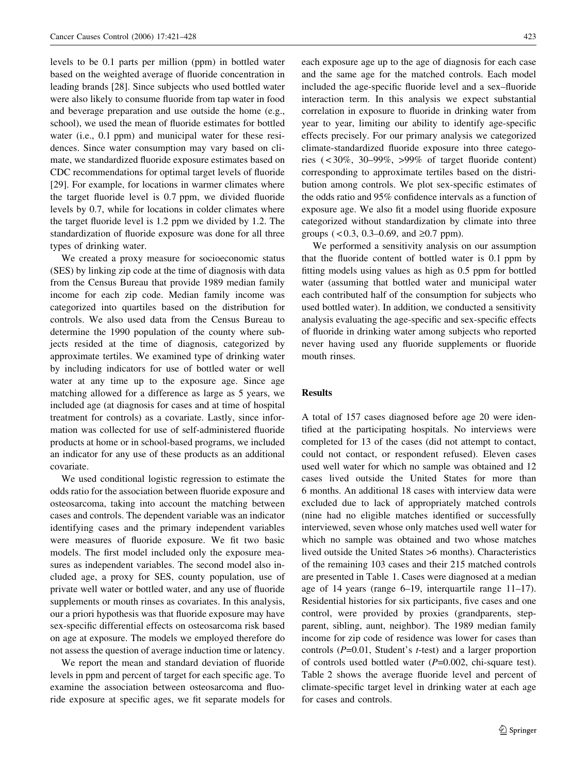levels to be 0.1 parts per million (ppm) in bottled water based on the weighted average of fluoride concentration in leading brands [28]. Since subjects who used bottled water were also likely to consume fluoride from tap water in food and beverage preparation and use outside the home (e.g., school), we used the mean of fluoride estimates for bottled water (i.e., 0.1 ppm) and municipal water for these residences. Since water consumption may vary based on climate, we standardized fluoride exposure estimates based on CDC recommendations for optimal target levels of fluoride [29]. For example, for locations in warmer climates where the target fluoride level is 0.7 ppm, we divided fluoride levels by 0.7, while for locations in colder climates where the target fluoride level is 1.2 ppm we divided by 1.2. The standardization of fluoride exposure was done for all three types of drinking water.

We created a proxy measure for socioeconomic status (SES) by linking zip code at the time of diagnosis with data from the Census Bureau that provide 1989 median family income for each zip code. Median family income was categorized into quartiles based on the distribution for controls. We also used data from the Census Bureau to determine the 1990 population of the county where subjects resided at the time of diagnosis, categorized by approximate tertiles. We examined type of drinking water by including indicators for use of bottled water or well water at any time up to the exposure age. Since age matching allowed for a difference as large as 5 years, we included age (at diagnosis for cases and at time of hospital treatment for controls) as a covariate. Lastly, since information was collected for use of self-administered fluoride products at home or in school-based programs, we included an indicator for any use of these products as an additional covariate.

We used conditional logistic regression to estimate the odds ratio for the association between fluoride exposure and osteosarcoma, taking into account the matching between cases and controls. The dependent variable was an indicator identifying cases and the primary independent variables were measures of fluoride exposure. We fit two basic models. The first model included only the exposure measures as independent variables. The second model also included age, a proxy for SES, county population, use of private well water or bottled water, and any use of fluoride supplements or mouth rinses as covariates. In this analysis, our a priori hypothesis was that fluoride exposure may have sex-specific differential effects on osteosarcoma risk based on age at exposure. The models we employed therefore do not assess the question of average induction time or latency.

We report the mean and standard deviation of fluoride levels in ppm and percent of target for each specific age. To examine the association between osteosarcoma and fluoride exposure at specific ages, we fit separate models for each exposure age up to the age of diagnosis for each case and the same age for the matched controls. Each model included the age-specific fluoride level and a sex–fluoride interaction term. In this analysis we expect substantial correlation in exposure to fluoride in drinking water from year to year, limiting our ability to identify age-specific effects precisely. For our primary analysis we categorized climate-standardized fluoride exposure into three categories  $\left( \langle 30\%, 30-99\%, \rangle 599\% \right)$  of target fluoride content) corresponding to approximate tertiles based on the distribution among controls. We plot sex-specific estimates of the odds ratio and 95% confidence intervals as a function of exposure age. We also fit a model using fluoride exposure categorized without standardization by climate into three groups ( $< 0.3$ , 0.3–0.69, and  $\ge 0.7$  ppm).

We performed a sensitivity analysis on our assumption that the fluoride content of bottled water is 0.1 ppm by fitting models using values as high as 0.5 ppm for bottled water (assuming that bottled water and municipal water each contributed half of the consumption for subjects who used bottled water). In addition, we conducted a sensitivity analysis evaluating the age-specific and sex-specific effects of fluoride in drinking water among subjects who reported never having used any fluoride supplements or fluoride mouth rinses.

# Results

A total of 157 cases diagnosed before age 20 were identified at the participating hospitals. No interviews were completed for 13 of the cases (did not attempt to contact, could not contact, or respondent refused). Eleven cases used well water for which no sample was obtained and 12 cases lived outside the United States for more than 6 months. An additional 18 cases with interview data were excluded due to lack of appropriately matched controls (nine had no eligible matches identified or successfully interviewed, seven whose only matches used well water for which no sample was obtained and two whose matches lived outside the United States >6 months). Characteristics of the remaining 103 cases and their 215 matched controls are presented in Table 1. Cases were diagnosed at a median age of 14 years (range 6–19, interquartile range 11–17). Residential histories for six participants, five cases and one control, were provided by proxies (grandparents, stepparent, sibling, aunt, neighbor). The 1989 median family income for zip code of residence was lower for cases than controls  $(P=0.01$ , Student's *t*-test) and a larger proportion of controls used bottled water  $(P=0.002, \text{ chi-square test}).$ Table 2 shows the average fluoride level and percent of climate-specific target level in drinking water at each age for cases and controls.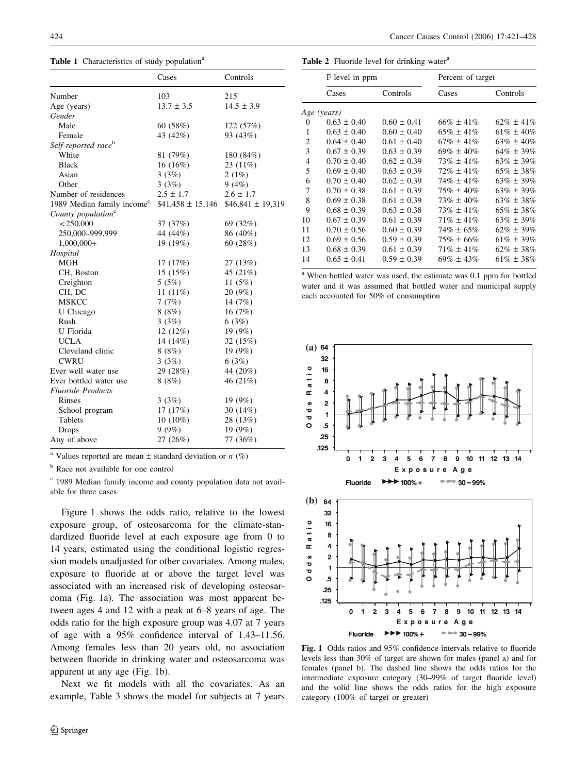| Table 1 Characteristics of study population <sup>a</sup> |  |  |  |
|----------------------------------------------------------|--|--|--|
|----------------------------------------------------------|--|--|--|

|                                        | Cases                | Controls             |
|----------------------------------------|----------------------|----------------------|
| Number                                 | 103                  | 215                  |
| Age (years)                            | $13.7 \pm 3.5$       | $14.5 \pm 3.9$       |
| Gender                                 |                      |                      |
| Male                                   | 60 $(58%)$           | 122 (57%)            |
| Female                                 | 43 (42%)             | 93 (43%)             |
| Self-reported race <sup>b</sup>        |                      |                      |
| White                                  | 81 (79%)             | 180 (84%)            |
| <b>Black</b>                           | $16(16\%)$           | $23(11\%)$           |
| Asian                                  | 3(3%)                | 2(1%)                |
| Other                                  | 3(3%)                | 9(4%)                |
| Number of residences                   | $2.5 \pm 1.7$        | $2.6 \pm 1.7$        |
| 1989 Median family income <sup>c</sup> | $$41,458 \pm 15,146$ | $$46,841 \pm 19,319$ |
| County population <sup>c</sup>         |                      |                      |
| $<$ 250,000                            | 37 (37%)             | 69 (32%)             |
| 250,000-999,999                        | 44 (44%)             | 86 (40%)             |
| $1,000,000+$                           | 19 (19%)             | 60 (28%)             |
| Hospital                               |                      |                      |
| <b>MGH</b>                             | 17 (17%)             | 27 (13%)             |
| CH, Boston                             | 15(15%)              | 45 (21%)             |
| Creighton                              | 5(5%)                | 11 $(5%)$            |
| CH, DC                                 | 11 $(11\%)$          | 20 (9%)              |
| <b>MSKCC</b>                           | 7(7%)                | 14 (7%)              |
| U Chicago                              | 8(8%)                | 16 $(7%)$            |
| Rush                                   | 3(3%)                | 6(3%)                |
| U Florida                              | 12(12%)              | 19(9%)               |
| <b>UCLA</b>                            | 14 $(14%)$           | 32(15%)              |
| Cleveland clinic                       | 8(8%)                | 19 $(9%)$            |
| <b>CWRU</b>                            | 3(3%)                | 6(3%)                |
| Ever well water use                    | 29 (28%)             | 44 (20%)             |
| Ever bottled water use                 | 8(8%)                | 46 (21%)             |
| <b>Fluoride Products</b>               |                      |                      |
| Rinses                                 | 3(3%)                | 19(9%)               |
| School program                         | 17(17%)              | 30 (14%)             |
| Tablets                                | $10(10\%)$           | 28 (13%)             |
| <b>Drops</b>                           | 9(9%)                | 19 $(9%)$            |
| Any of above                           | 27 (26%)             | 77 (36%)             |

<sup>a</sup> Values reported are mean  $\pm$  standard deviation or  $n$  (%)

<sup>b</sup> Race not available for one control

<sup>c</sup> 1989 Median family income and county population data not available for three cases

Figure 1 shows the odds ratio, relative to the lowest exposure group, of osteosarcoma for the climate-standardized fluoride level at each exposure age from 0 to 14 years, estimated using the conditional logistic regression models unadjusted for other covariates. Among males, exposure to fluoride at or above the target level was associated with an increased risk of developing osteosarcoma (Fig. 1a). The association was most apparent between ages 4 and 12 with a peak at 6–8 years of age. The odds ratio for the high exposure group was 4.07 at 7 years of age with a 95% confidence interval of 1.43–11.56. Among females less than 20 years old, no association between fluoride in drinking water and osteosarcoma was apparent at any age (Fig. 1b).

Next we fit models with all the covariates. As an example, Table 3 shows the model for subjects at 7 years

Table 2 Fluoride level for drinking water<sup>a</sup>

|                | F level in ppm  |                 | Percent of target |                 |
|----------------|-----------------|-----------------|-------------------|-----------------|
|                | Cases           | Controls        | Cases             | Controls        |
|                | Age (years)     |                 |                   |                 |
| 0              | $0.63 \pm 0.40$ | $0.60 \pm 0.41$ | $66\% \pm 41\%$   | $62\% \pm 41\%$ |
| 1              | $0.63 \pm 0.40$ | $0.60 \pm 0.40$ | $65\% \pm 41\%$   | $61\% \pm 40\%$ |
| $\overline{c}$ | $0.64 \pm 0.40$ | $0.61 \pm 0.40$ | $67\% \pm 41\%$   | $63\% \pm 40\%$ |
| 3              | $0.67 \pm 0.39$ | $0.63 \pm 0.39$ | $69\% \pm 40\%$   | $64\% \pm 39\%$ |
| 4              | $0.70 \pm 0.40$ | $0.62 \pm 0.39$ | $73\% \pm 41\%$   | $63\% \pm 39\%$ |
| 5              | $0.69 \pm 0.40$ | $0.63 \pm 0.39$ | $72\% \pm 41\%$   | $65\% \pm 38\%$ |
| 6              | $0.70 \pm 0.40$ | $0.62 \pm 0.39$ | $74\% \pm 41\%$   | $63\% \pm 39\%$ |
| 7              | $0.70 \pm 0.38$ | $0.61 \pm 0.39$ | $75\% \pm 40\%$   | $63\% \pm 39\%$ |
| 8              | $0.69 \pm 0.38$ | $0.61 \pm 0.39$ | $73\% \pm 40\%$   | $63\% \pm 38\%$ |
| 9              | $0.68 \pm 0.39$ | $0.63 \pm 0.38$ | $73\% \pm 41\%$   | $65\% \pm 38\%$ |
| 10             | $0.67 \pm 0.39$ | $0.61 \pm 0.39$ | $71\% \pm 41\%$   | $63\% \pm 39\%$ |
| 11             | $0.70 \pm 0.56$ | $0.60 \pm 0.39$ | $74\% \pm 65\%$   | $62\% \pm 39\%$ |
| 12             | $0.69 \pm 0.56$ | $0.59 \pm 0.39$ | $75\% \pm 66\%$   | $61\% \pm 39\%$ |
| 13             | $0.68 \pm 0.39$ | $0.61 \pm 0.39$ | $71\% \pm 41\%$   | $62\% \pm 38\%$ |
| 14             | $0.65 \pm 0.41$ | $0.59 \pm 0.39$ | $69\% \pm 43\%$   | $61\% \pm 38\%$ |
|                |                 |                 |                   |                 |

<sup>a</sup> When bottled water was used, the estimate was 0.1 ppm for bottled water and it was assumed that bottled water and municipal supply each accounted for 50% of consumption



Fig. 1 Odds ratios and 95% confidence intervals relative to fluoride levels less than 30% of target are shown for males (panel a) and for females (panel b). The dashed line shows the odds ratios for the intermediate exposure category (30–99% of target fluoride level) and the solid line shows the odds ratios for the high exposure category (100% of target or greater)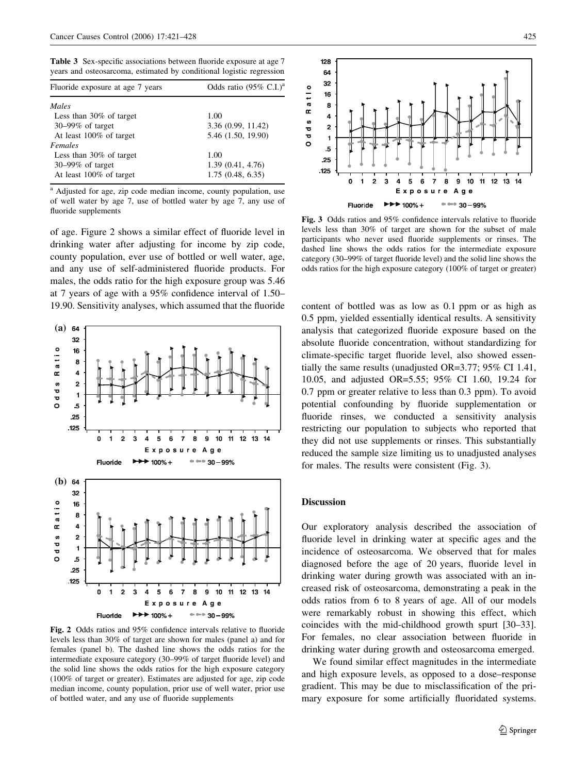Table 3 Sex-specific associations between fluoride exposure at age 7 years and osteosarcoma, estimated by conditional logistic regression

| Fluoride exposure at age 7 years | Odds ratio $(95\% \text{ C.I.})^a$ |  |
|----------------------------------|------------------------------------|--|
| Males                            |                                    |  |
| Less than $30\%$ of target       | 1.00                               |  |
| $30 - 99\%$ of target            | 3.36 (0.99, 11.42)                 |  |
| At least 100% of target          | 5.46 (1.50, 19.90)                 |  |
| Females                          |                                    |  |
| Less than $30\%$ of target       | 1.00                               |  |
| $30-99\%$ of target              | 1.39(0.41, 4.76)                   |  |
| At least 100% of target          | 1.75(0.48, 6.35)                   |  |

<sup>a</sup> Adjusted for age, zip code median income, county population, use of well water by age 7, use of bottled water by age 7, any use of fluoride supplements

of age. Figure 2 shows a similar effect of fluoride level in drinking water after adjusting for income by zip code, county population, ever use of bottled or well water, age, and any use of self-administered fluoride products. For males, the odds ratio for the high exposure group was 5.46 at 7 years of age with a 95% confidence interval of 1.50– 19.90. Sensitivity analyses, which assumed that the fluoride content of bottled was as low as 0.1 ppm or as high as



Fig. 2 Odds ratios and 95% confidence intervals relative to fluoride levels less than 30% of target are shown for males (panel a) and for females (panel b). The dashed line shows the odds ratios for the intermediate exposure category (30–99% of target fluoride level) and the solid line shows the odds ratios for the high exposure category (100% of target or greater). Estimates are adjusted for age, zip code median income, county population, prior use of well water, prior use of bottled water, and any use of fluoride supplements



Fig. 3 Odds ratios and 95% confidence intervals relative to fluoride levels less than 30% of target are shown for the subset of male participants who never used fluoride supplements or rinses. The dashed line shows the odds ratios for the intermediate exposure category (30–99% of target fluoride level) and the solid line shows the odds ratios for the high exposure category (100% of target or greater)

0.5 ppm, yielded essentially identical results. A sensitivity analysis that categorized fluoride exposure based on the absolute fluoride concentration, without standardizing for climate-specific target fluoride level, also showed essentially the same results (unadjusted OR=3.77; 95% CI 1.41, 10.05, and adjusted OR=5.55; 95% CI 1.60, 19.24 for 0.7 ppm or greater relative to less than 0.3 ppm). To avoid potential confounding by fluoride supplementation or fluoride rinses, we conducted a sensitivity analysis restricting our population to subjects who reported that they did not use supplements or rinses. This substantially reduced the sample size limiting us to unadjusted analyses for males. The results were consistent (Fig. 3).

#### Discussion

Our exploratory analysis described the association of fluoride level in drinking water at specific ages and the incidence of osteosarcoma. We observed that for males diagnosed before the age of 20 years, fluoride level in drinking water during growth was associated with an increased risk of osteosarcoma, demonstrating a peak in the odds ratios from 6 to 8 years of age. All of our models were remarkably robust in showing this effect, which coincides with the mid-childhood growth spurt [30–33]. For females, no clear association between fluoride in drinking water during growth and osteosarcoma emerged.

We found similar effect magnitudes in the intermediate and high exposure levels, as opposed to a dose–response gradient. This may be due to misclassification of the primary exposure for some artificially fluoridated systems.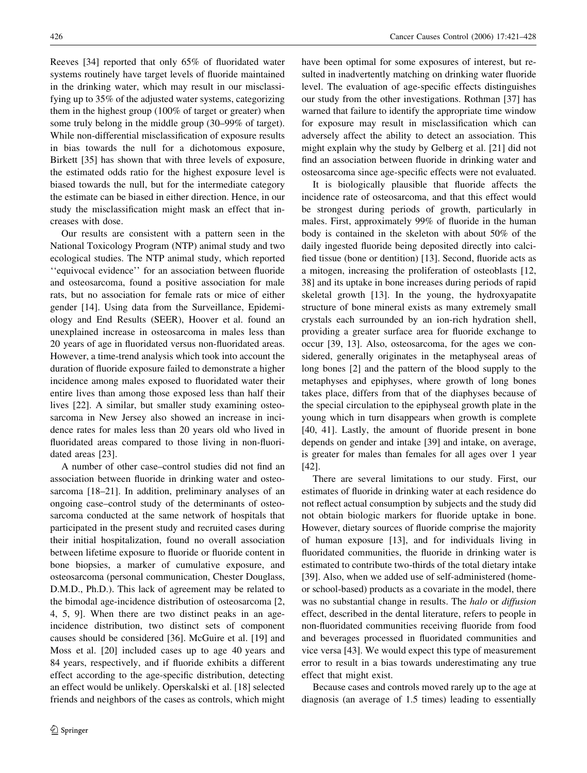Reeves [34] reported that only 65% of fluoridated water systems routinely have target levels of fluoride maintained in the drinking water, which may result in our misclassifying up to 35% of the adjusted water systems, categorizing them in the highest group (100% of target or greater) when some truly belong in the middle group (30–99% of target). While non-differential misclassification of exposure results in bias towards the null for a dichotomous exposure, Birkett [35] has shown that with three levels of exposure, the estimated odds ratio for the highest exposure level is biased towards the null, but for the intermediate category the estimate can be biased in either direction. Hence, in our study the misclassification might mask an effect that increases with dose.

Our results are consistent with a pattern seen in the National Toxicology Program (NTP) animal study and two ecological studies. The NTP animal study, which reported ''equivocal evidence'' for an association between fluoride and osteosarcoma, found a positive association for male rats, but no association for female rats or mice of either gender [14]. Using data from the Surveillance, Epidemiology and End Results (SEER), Hoover et al. found an unexplained increase in osteosarcoma in males less than 20 years of age in fluoridated versus non-fluoridated areas. However, a time-trend analysis which took into account the duration of fluoride exposure failed to demonstrate a higher incidence among males exposed to fluoridated water their entire lives than among those exposed less than half their lives [22]. A similar, but smaller study examining osteosarcoma in New Jersey also showed an increase in incidence rates for males less than 20 years old who lived in fluoridated areas compared to those living in non-fluoridated areas [23].

A number of other case–control studies did not find an association between fluoride in drinking water and osteosarcoma [18–21]. In addition, preliminary analyses of an ongoing case–control study of the determinants of osteosarcoma conducted at the same network of hospitals that participated in the present study and recruited cases during their initial hospitalization, found no overall association between lifetime exposure to fluoride or fluoride content in bone biopsies, a marker of cumulative exposure, and osteosarcoma (personal communication, Chester Douglass, D.M.D., Ph.D.). This lack of agreement may be related to the bimodal age-incidence distribution of osteosarcoma [2, 4, 5, 9]. When there are two distinct peaks in an ageincidence distribution, two distinct sets of component causes should be considered [36]. McGuire et al. [19] and Moss et al. [20] included cases up to age 40 years and 84 years, respectively, and if fluoride exhibits a different effect according to the age-specific distribution, detecting an effect would be unlikely. Operskalski et al. [18] selected friends and neighbors of the cases as controls, which might have been optimal for some exposures of interest, but resulted in inadvertently matching on drinking water fluoride level. The evaluation of age-specific effects distinguishes our study from the other investigations. Rothman [37] has warned that failure to identify the appropriate time window for exposure may result in misclassification which can adversely affect the ability to detect an association. This might explain why the study by Gelberg et al. [21] did not find an association between fluoride in drinking water and osteosarcoma since age-specific effects were not evaluated.

It is biologically plausible that fluoride affects the incidence rate of osteosarcoma, and that this effect would be strongest during periods of growth, particularly in males. First, approximately 99% of fluoride in the human body is contained in the skeleton with about 50% of the daily ingested fluoride being deposited directly into calcified tissue (bone or dentition) [13]. Second, fluoride acts as a mitogen, increasing the proliferation of osteoblasts [12, 38] and its uptake in bone increases during periods of rapid skeletal growth [13]. In the young, the hydroxyapatite structure of bone mineral exists as many extremely small crystals each surrounded by an ion-rich hydration shell, providing a greater surface area for fluoride exchange to occur [39, 13]. Also, osteosarcoma, for the ages we considered, generally originates in the metaphyseal areas of long bones [2] and the pattern of the blood supply to the metaphyses and epiphyses, where growth of long bones takes place, differs from that of the diaphyses because of the special circulation to the epiphyseal growth plate in the young which in turn disappears when growth is complete [40, 41]. Lastly, the amount of fluoride present in bone depends on gender and intake [39] and intake, on average, is greater for males than females for all ages over 1 year [42].

There are several limitations to our study. First, our estimates of fluoride in drinking water at each residence do not reflect actual consumption by subjects and the study did not obtain biologic markers for fluoride uptake in bone. However, dietary sources of fluoride comprise the majority of human exposure [13], and for individuals living in fluoridated communities, the fluoride in drinking water is estimated to contribute two-thirds of the total dietary intake [39]. Also, when we added use of self-administered (homeor school-based) products as a covariate in the model, there was no substantial change in results. The halo or diffusion effect, described in the dental literature, refers to people in non-fluoridated communities receiving fluoride from food and beverages processed in fluoridated communities and vice versa [43]. We would expect this type of measurement error to result in a bias towards underestimating any true effect that might exist.

Because cases and controls moved rarely up to the age at diagnosis (an average of 1.5 times) leading to essentially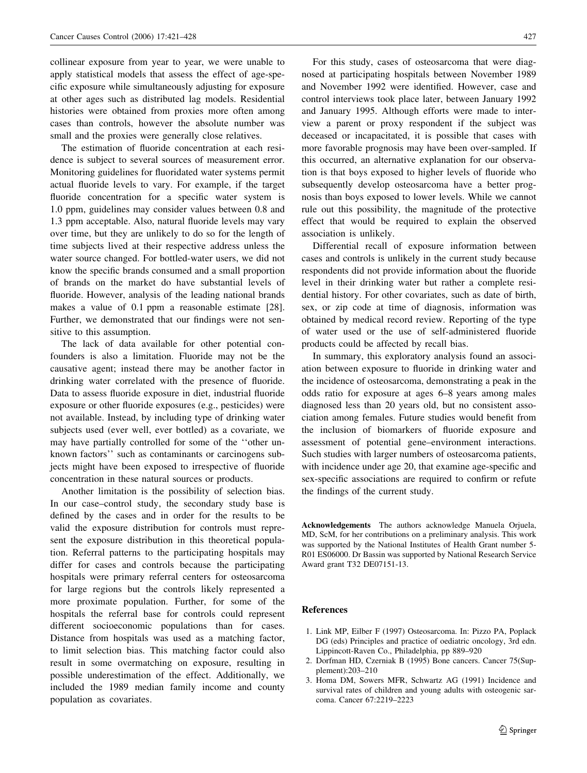collinear exposure from year to year, we were unable to apply statistical models that assess the effect of age-specific exposure while simultaneously adjusting for exposure at other ages such as distributed lag models. Residential histories were obtained from proxies more often among cases than controls, however the absolute number was small and the proxies were generally close relatives.

The estimation of fluoride concentration at each residence is subject to several sources of measurement error. Monitoring guidelines for fluoridated water systems permit actual fluoride levels to vary. For example, if the target fluoride concentration for a specific water system is 1.0 ppm, guidelines may consider values between 0.8 and 1.3 ppm acceptable. Also, natural fluoride levels may vary over time, but they are unlikely to do so for the length of time subjects lived at their respective address unless the water source changed. For bottled-water users, we did not know the specific brands consumed and a small proportion of brands on the market do have substantial levels of fluoride. However, analysis of the leading national brands makes a value of 0.1 ppm a reasonable estimate [28]. Further, we demonstrated that our findings were not sensitive to this assumption.

The lack of data available for other potential confounders is also a limitation. Fluoride may not be the causative agent; instead there may be another factor in drinking water correlated with the presence of fluoride. Data to assess fluoride exposure in diet, industrial fluoride exposure or other fluoride exposures (e.g., pesticides) were not available. Instead, by including type of drinking water subjects used (ever well, ever bottled) as a covariate, we may have partially controlled for some of the ''other unknown factors'' such as contaminants or carcinogens subjects might have been exposed to irrespective of fluoride concentration in these natural sources or products.

Another limitation is the possibility of selection bias. In our case–control study, the secondary study base is defined by the cases and in order for the results to be valid the exposure distribution for controls must represent the exposure distribution in this theoretical population. Referral patterns to the participating hospitals may differ for cases and controls because the participating hospitals were primary referral centers for osteosarcoma for large regions but the controls likely represented a more proximate population. Further, for some of the hospitals the referral base for controls could represent different socioeconomic populations than for cases. Distance from hospitals was used as a matching factor, to limit selection bias. This matching factor could also result in some overmatching on exposure, resulting in possible underestimation of the effect. Additionally, we included the 1989 median family income and county population as covariates.

For this study, cases of osteosarcoma that were diagnosed at participating hospitals between November 1989 and November 1992 were identified. However, case and control interviews took place later, between January 1992 and January 1995. Although efforts were made to interview a parent or proxy respondent if the subject was deceased or incapacitated, it is possible that cases with more favorable prognosis may have been over-sampled. If this occurred, an alternative explanation for our observation is that boys exposed to higher levels of fluoride who subsequently develop osteosarcoma have a better prognosis than boys exposed to lower levels. While we cannot rule out this possibility, the magnitude of the protective effect that would be required to explain the observed association is unlikely.

Differential recall of exposure information between cases and controls is unlikely in the current study because respondents did not provide information about the fluoride level in their drinking water but rather a complete residential history. For other covariates, such as date of birth, sex, or zip code at time of diagnosis, information was obtained by medical record review. Reporting of the type of water used or the use of self-administered fluoride products could be affected by recall bias.

In summary, this exploratory analysis found an association between exposure to fluoride in drinking water and the incidence of osteosarcoma, demonstrating a peak in the odds ratio for exposure at ages 6–8 years among males diagnosed less than 20 years old, but no consistent association among females. Future studies would benefit from the inclusion of biomarkers of fluoride exposure and assessment of potential gene–environment interactions. Such studies with larger numbers of osteosarcoma patients, with incidence under age 20, that examine age-specific and sex-specific associations are required to confirm or refute the findings of the current study.

Acknowledgements The authors acknowledge Manuela Orjuela, MD, ScM, for her contributions on a preliminary analysis. This work was supported by the National Institutes of Health Grant number 5- R01 ES06000. Dr Bassin was supported by National Research Service Award grant T32 DE07151-13.

#### References

- 1. Link MP, Eilber F (1997) Osteosarcoma. In: Pizzo PA, Poplack DG (eds) Principles and practice of oediatric oncology, 3rd edn. Lippincott-Raven Co., Philadelphia, pp 889–920
- 2. Dorfman HD, Czerniak B (1995) Bone cancers. Cancer 75(Supplement):203–210
- 3. Homa DM, Sowers MFR, Schwartz AG (1991) Incidence and survival rates of children and young adults with osteogenic sarcoma. Cancer 67:2219–2223